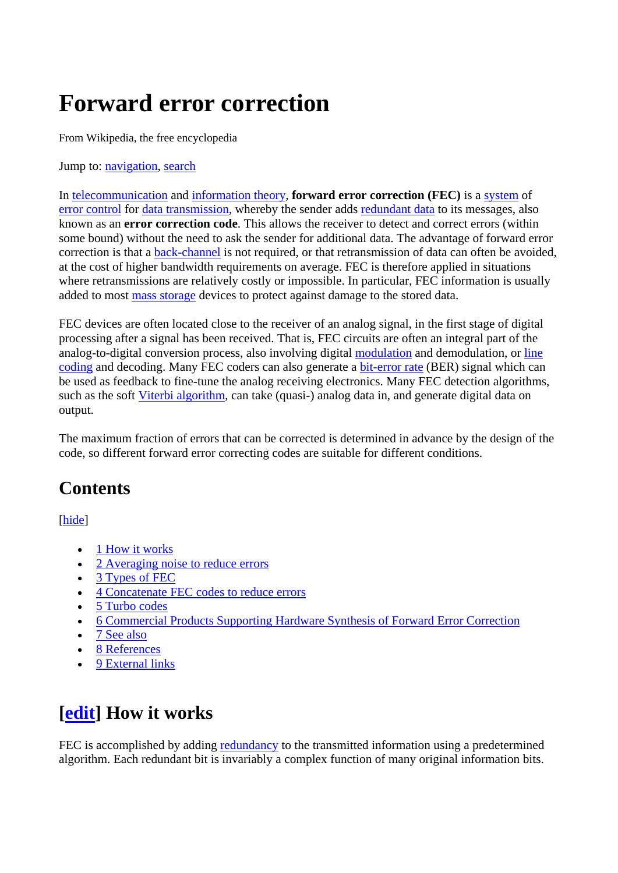# **Forward error correction**

From Wikipedia, the free encyclopedia

Jump to: [navigation,](http://en.wikipedia.org/wiki/Forward_error_correction#column-one#column-one) [search](http://en.wikipedia.org/wiki/Forward_error_correction#searchInput#searchInput)

In [telecommunication](http://en.wikipedia.org/wiki/Telecommunication) and [information theory](http://en.wikipedia.org/wiki/Information_theory), **forward error correction (FEC)** is a [system](http://en.wikipedia.org/wiki/System) of [error control](http://en.wikipedia.org/wiki/Error_control) for [data transmission,](http://en.wikipedia.org/wiki/Data_transmission) whereby the sender adds [redundant data](http://en.wikipedia.org/wiki/Redundancy_(information_theory)) to its messages, also known as an **error correction code**. This allows the receiver to detect and correct errors (within some bound) without the need to ask the sender for additional data. The advantage of forward error correction is that a [back-channel](http://en.wikipedia.org/wiki/Back-channel) is not required, or that retransmission of data can often be avoided, at the cost of higher bandwidth requirements on average. FEC is therefore applied in situations where retransmissions are relatively costly or impossible. In particular, FEC information is usually added to most [mass storage](http://en.wikipedia.org/wiki/Mass_storage) devices to protect against damage to the stored data.

FEC devices are often located close to the receiver of an analog signal, in the first stage of digital processing after a signal has been received. That is, FEC circuits are often an integral part of the analog-to-digital conversion process, also involving digital [modulation](http://en.wikipedia.org/wiki/Modulation) and demodulation, or line [coding](http://en.wikipedia.org/wiki/Line_coding) and decoding. Many FEC coders can also generate a [bit-error rate](http://en.wikipedia.org/wiki/Bit-error_rate) (BER) signal which can be used as feedback to fine-tune the analog receiving electronics. Many FEC detection algorithms, such as the soft [Viterbi algorithm,](http://en.wikipedia.org/wiki/Viterbi_algorithm) can take (quasi-) analog data in, and generate digital data on output.

The maximum fraction of errors that can be corrected is determined in advance by the design of the code, so different forward error correcting codes are suitable for different conditions.

#### **Contents**

[[hide](javascript:toggleToc())]

- 1 How it works
- 2 Averaging noise to reduce errors
- 3 [Types of FEC](http://en.wikipedia.org/wiki/Forward_error_correction#Types_of_FEC#Types_of_FEC)
- 4 [Concatenate FEC codes to reduce errors](http://en.wikipedia.org/wiki/Forward_error_correction#Concatenate_FEC_codes_to_reduce_errors#Concatenate_FEC_codes_to_reduce_errors)
- 5 [Turbo codes](http://en.wikipedia.org/wiki/Forward_error_correction#Turbo_codes#Turbo_codes)
- 6 [Commercial Products Supporting Hardware Synthesis of Forward Error Correction](http://en.wikipedia.org/wiki/Forward_error_correction#Commercial_Products_Supporting_Hardware_Synthesis_of_Forward_Error_Correction#Commercial_Products_Supporting_Hardware_Synthesis_of_Forward_Error_Correction)
- 7 [See also](http://en.wikipedia.org/wiki/Forward_error_correction#See_also#See_also)
- 8 [References](http://en.wikipedia.org/wiki/Forward_error_correction#References#References)
- 9 External links

#### **[[edit\]](http://en.wikipedia.org/w/index.php?title=Forward_error_correction&action=edit§ion=1) How it works**

FEC is accomplished by adding [redundancy](http://en.wikipedia.org/wiki/Redundancy_(information_theory)) to the transmitted information using a predetermined algorithm. Each redundant bit is invariably a complex function of many original information bits.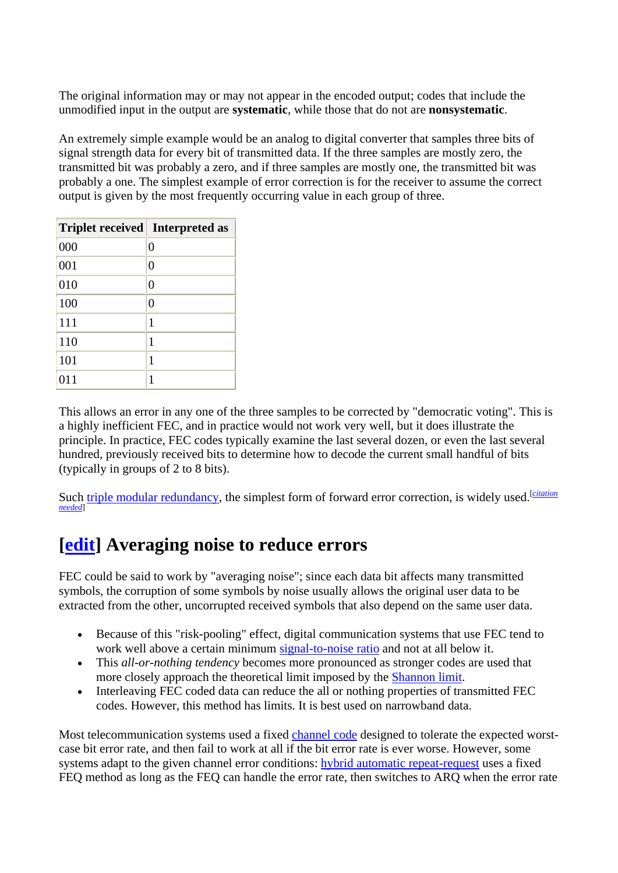The original information may or may not appear in the encoded output; codes that include the unmodified input in the output are **systematic**, while those that do not are **nonsystematic**.

An extremely simple example would be an analog to digital converter that samples three bits of signal strength data for every bit of transmitted data. If the three samples are mostly zero, the transmitted bit was probably a zero, and if three samples are mostly one, the transmitted bit was probably a one. The simplest example of error correction is for the receiver to assume the correct output is given by the most frequently occurring value in each group of three.

| <b>Triplet received</b> Interpreted as |          |
|----------------------------------------|----------|
| 000                                    | $\Omega$ |
| 001                                    | $\theta$ |
| 010                                    | $\Omega$ |
| 100                                    | $\Omega$ |
| 111                                    | 1        |
| 110                                    | 1        |
| 101                                    | 1        |
| 011                                    | 1        |

This allows an error in any one of the three samples to be corrected by "democratic voting". This is a highly inefficient FEC, and in practice would not work very well, but it does illustrate the principle. In practice, FEC codes typically examine the last several dozen, or even the last several hundred, previously received bits to determine how to decode the current small handful of bits (typically in groups of 2 to 8 bits).

Such [triple modular redundancy](http://en.wikipedia.org/wiki/Triple_modular_redundancy), the simplest form of forward error correction, is widely used.<sup>[citation</sup>] *[needed](http://en.wikipedia.org/wiki/Wikipedia:Citation_needed)*]

#### **[[edit\]](http://en.wikipedia.org/w/index.php?title=Forward_error_correction&action=edit§ion=2) Averaging noise to reduce errors**

FEC could be said to work by "averaging noise"; since each data bit affects many transmitted symbols, the corruption of some symbols by noise usually allows the original user data to be extracted from the other, uncorrupted received symbols that also depend on the same user data.

- Because of this "risk-pooling" effect, digital communication systems that use FEC tend to work well above a certain minimum [signal-to-noise ratio](http://en.wikipedia.org/wiki/Signal-to-noise_ratio) and not at all below it.
- This *all-or-nothing tendency* becomes more pronounced as stronger codes are used that more closely approach the theoretical limit imposed by the [Shannon limit](http://en.wikipedia.org/wiki/Shannon_limit).
- Interleaving FEC coded data can reduce the all or nothing properties of transmitted FEC codes. However, this method has limits. It is best used on narrowband data.

Most telecommunication systems used a fixed [channel code](http://en.wikipedia.org/wiki/Channel_code) designed to tolerate the expected worstcase bit error rate, and then fail to work at all if the bit error rate is ever worse. However, some systems adapt to the given channel error conditions: [hybrid automatic repeat-request](http://en.wikipedia.org/wiki/Hybrid_automatic_repeat-request) uses a fixed FEQ method as long as the FEQ can handle the error rate, then switches to ARQ when the error rate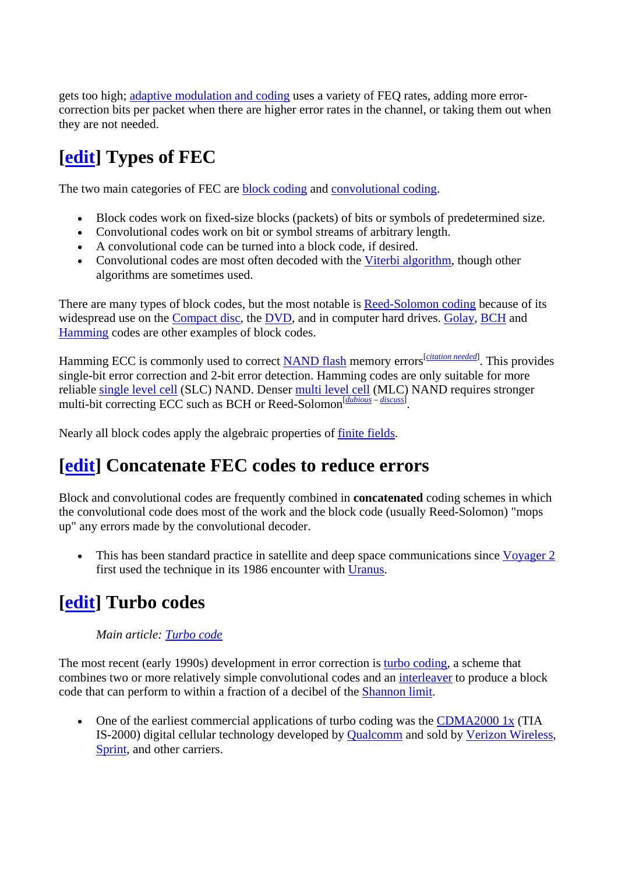gets too high; [adaptive modulation and coding](http://en.wikipedia.org/wiki/Adaptive_modulation_and_coding) uses a variety of FEQ rates, adding more errorcorrection bits per packet when there are higher error rates in the channel, or taking them out when they are not needed.

## **[[edit\]](http://en.wikipedia.org/w/index.php?title=Forward_error_correction&action=edit§ion=3) Types of FEC**

The two main categories of FEC are [block coding](http://en.wikipedia.org/wiki/Block_code) and [convolutional coding](http://en.wikipedia.org/wiki/Convolutional_code).

- Block codes work on fixed-size blocks (packets) of bits or symbols of predetermined size.
- Convolutional codes work on bit or symbol streams of arbitrary length.
- A convolutional code can be turned into a block code, if desired.
- Convolutional codes are most often decoded with the [Viterbi algorithm,](http://en.wikipedia.org/wiki/Viterbi_algorithm) though other algorithms are sometimes used.

There are many types of block codes, but the most notable is [Reed-Solomon coding](http://en.wikipedia.org/wiki/Reed-Solomon_error_correction) because of its widespread use on the [Compact disc,](http://en.wikipedia.org/wiki/Compact_disc) the [DVD](http://en.wikipedia.org/wiki/DVD), and in computer hard drives. [Golay](http://en.wikipedia.org/wiki/Golay_code), [BCH](http://en.wikipedia.org/wiki/BCH_code) and [Hamming](http://en.wikipedia.org/wiki/Hamming_code) codes are other examples of block codes.

Hamming ECC is commonly used to correct **NAND flash** memory errors *[citation needed](http://en.wikipedia.org/wiki/Wikipedia:Citation_needed)*]. This provides single-bit error correction and 2-bit error detection. Hamming codes are only suitable for more reliable [single level cell](http://en.wikipedia.org/wiki/Single_level_cell) (SLC) NAND. Denser [multi level cell](http://en.wikipedia.org/wiki/Multi_level_cell) (MLC) NAND requires stronger multi-bit correcting ECC such as BCH or Reed-Solomon<sup>[[dubious](http://en.wikipedia.org/wiki/Wikipedia:Disputed_statement) – [discuss](http://en.wikipedia.org/wiki/Talk:Forward_error_correction#Dubious)].</sup>

Nearly all block codes apply the algebraic properties of [finite fields.](http://en.wikipedia.org/wiki/Finite_field)

#### **[[edit\]](http://en.wikipedia.org/w/index.php?title=Forward_error_correction&action=edit§ion=4) Concatenate FEC codes to reduce errors**

Block and convolutional codes are frequently combined in **concatenated** coding schemes in which the convolutional code does most of the work and the block code (usually Reed-Solomon) "mops up" any errors made by the convolutional decoder.

• This has been standard practice in satellite and deep space communications since [Voyager 2](http://en.wikipedia.org/wiki/Voyager_program) first used the technique in its 1986 encounter with [Uranus](http://en.wikipedia.org/wiki/Uranus_(planet)).

#### **[[edit\]](http://en.wikipedia.org/w/index.php?title=Forward_error_correction&action=edit§ion=5) Turbo codes**

#### *Main article: [Turbo code](http://en.wikipedia.org/wiki/Turbo_code)*

The most recent (early 1990s) development in error correction is [turbo coding,](http://en.wikipedia.org/wiki/Turbo_code) a scheme that combines two or more relatively simple convolutional codes and an [interleaver](http://en.wikipedia.org/wiki/Interleaving) to produce a block code that can perform to within a fraction of a decibel of the [Shannon limit.](http://en.wikipedia.org/wiki/Shannon_limit)

• One of the earliest commercial applications of turbo coding was the [CDMA2000 1x](http://en.wikipedia.org/wiki/CDMA2000) (TIA IS-2000) digital cellular technology developed by [Qualcomm](http://en.wikipedia.org/wiki/Qualcomm) and sold by [Verizon Wireless,](http://en.wikipedia.org/wiki/Verizon_Wireless) [Sprint](http://en.wikipedia.org/wiki/Sprint_Nextel), and other carriers.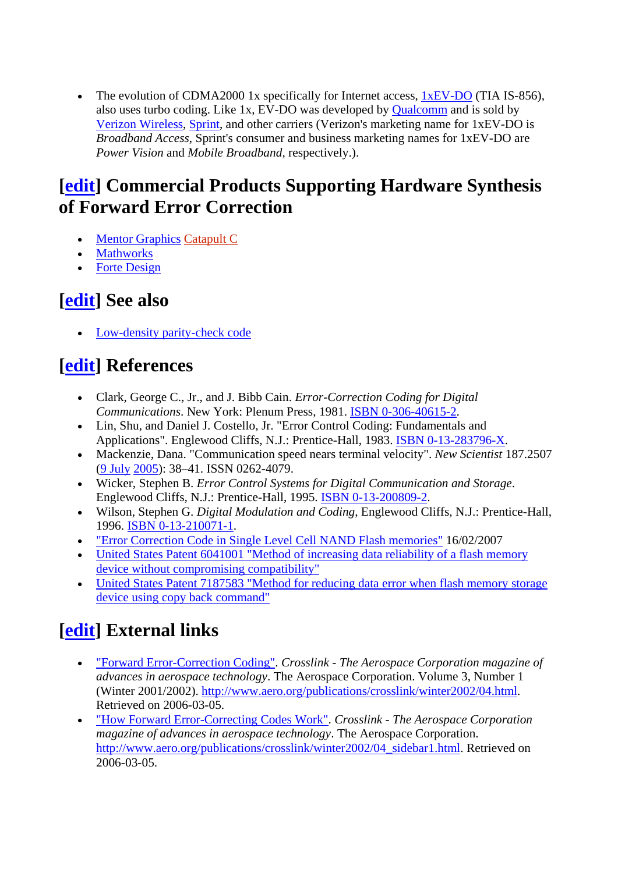• The evolution of CDMA2000 1x specifically for Internet access, [1xEV-DO](http://en.wikipedia.org/wiki/Evolution-Data_Optimized) (TIA IS-856), also uses turbo coding. Like 1x, EV-DO was developed by [Qualcomm](http://en.wikipedia.org/wiki/Qualcomm) and is sold by [Verizon Wireless](http://en.wikipedia.org/wiki/Verizon_Wireless), [Sprint,](http://en.wikipedia.org/wiki/Sprint_Nextel) and other carriers (Verizon's marketing name for 1xEV-DO is *Broadband Access*, Sprint's consumer and business marketing names for 1xEV-DO are *Power Vision* and *Mobile Broadband*, respectively.).

#### **[[edit\]](http://en.wikipedia.org/w/index.php?title=Forward_error_correction&action=edit§ion=6) Commercial Products Supporting Hardware Synthesis of Forward Error Correction**

- [Mentor Graphics](http://en.wikipedia.org/wiki/Mentor_Graphics) [Catapult C](http://en.wikipedia.org/w/index.php?title=Catapult_C&action=edit&redlink=1)
- [Mathworks](http://en.wikipedia.org/wiki/Mathworks)
- [Forte Design](http://en.wikipedia.org/wiki/Forte_Design)

#### **[[edit\]](http://en.wikipedia.org/w/index.php?title=Forward_error_correction&action=edit§ion=7) See also**

• [Low-density parity-check code](http://en.wikipedia.org/wiki/Low-density_parity-check_code) 

#### **[[edit\]](http://en.wikipedia.org/w/index.php?title=Forward_error_correction&action=edit§ion=8) References**

- Clark, George C., Jr., and J. Bibb Cain. *Error-Correction Coding for Digital Communications*. New York: Plenum Press, 1981. [ISBN 0-306-40615-2.](http://en.wikipedia.org/wiki/Special:BookSources/0306406152)
- Lin, Shu, and Daniel J. Costello, Jr. "Error Control Coding: Fundamentals and Applications". Englewood Cliffs, N.J.: Prentice-Hall, 1983. [ISBN 0-13-283796-X.](http://en.wikipedia.org/wiki/Special:BookSources/013283796X)
- Mackenzie, Dana. "Communication speed nears terminal velocity". *New Scientist* 187.2507 ([9 July](http://en.wikipedia.org/wiki/July_9) [2005\)](http://en.wikipedia.org/wiki/2005): 38–41. ISSN 0262-4079.
- Wicker, Stephen B. *Error Control Systems for Digital Communication and Storage*. Englewood Cliffs, N.J.: Prentice-Hall, 1995. [ISBN 0-13-200809-2.](http://en.wikipedia.org/wiki/Special:BookSources/0132008092)
- Wilson, Stephen G. *Digital Modulation and Coding*, Englewood Cliffs, N.J.: Prentice-Hall, 1996. [ISBN 0-13-210071-1](http://en.wikipedia.org/wiki/Special:BookSources/0132100711).
- ["Error Correction Code in Single Level Cell NAND Flash memories"](http://www.st.com/stonline/products/literature/an/10123.htm) 16/02/2007
- United States Patent 6041001 "Method of increasing data reliability of a flash memory [device without compromising compatibility"](http://www.patentstorm.us/patents/6041001.html)
- United States Patent 7187583 "Method for reducing data error when flash memory storage [device using copy back command"](http://www.freepatentsonline.com/7187583.html)

### **[[edit\]](http://en.wikipedia.org/w/index.php?title=Forward_error_correction&action=edit§ion=9) External links**

- ["Forward Error-Correction Coding"](http://www.aero.org/publications/crosslink/winter2002/04.html). *Crosslink The Aerospace Corporation magazine of advances in aerospace technology*. The Aerospace Corporation. Volume 3, Number 1 (Winter 2001/2002). [http://www.aero.org/publications/crosslink/winter2002/04.html.](http://www.aero.org/publications/crosslink/winter2002/04.html) Retrieved on 2006-03-05.
- ["How Forward Error-Correcting Codes Work"](http://www.aero.org/publications/crosslink/winter2002/04_sidebar1.html). *Crosslink The Aerospace Corporation magazine of advances in aerospace technology*. The Aerospace Corporation. [http://www.aero.org/publications/crosslink/winter2002/04\\_sidebar1.html.](http://www.aero.org/publications/crosslink/winter2002/04_sidebar1.html) Retrieved on 2006-03-05.